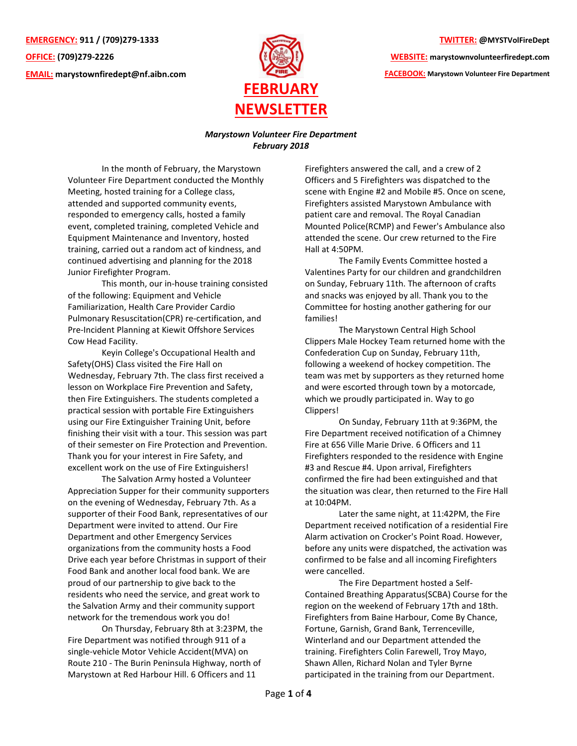**EMERGENCY: 911 / (709)279-1333 OFFICE: (709)279-2226 EMAIL: [marystownfiredept@nf.aibn.com](mailto:marystownfiredept@nf.aibn.com)**



## **TWITTER: @MYSTVolFireDept**

**WEBSITE: marystownvolunteerfiredept.com FACEBOOK: Marystown Volunteer Fire Department**

## *Marystown Volunteer Fire Department February 2018*

In the month of February, the Marystown Volunteer Fire Department conducted the Monthly Meeting, hosted training for a College class, attended and supported community events, responded to emergency calls, hosted a family event, completed training, completed Vehicle and Equipment Maintenance and Inventory, hosted training, carried out a random act of kindness, and continued advertising and planning for the 2018 Junior Firefighter Program.

This month, our in-house training consisted of the following: Equipment and Vehicle Familiarization, Health Care Provider Cardio Pulmonary Resuscitation(CPR) re-certification, and Pre-Incident Planning at Kiewit Offshore Services Cow Head Facility.

Keyin College's Occupational Health and Safety(OHS) Class visited the Fire Hall on Wednesday, February 7th. The class first received a lesson on Workplace Fire Prevention and Safety, then Fire Extinguishers. The students completed a practical session with portable Fire Extinguishers using our Fire Extinguisher Training Unit, before finishing their visit with a tour. This session was part of their semester on Fire Protection and Prevention. Thank you for your interest in Fire Safety, and excellent work on the use of Fire Extinguishers!

The Salvation Army hosted a Volunteer Appreciation Supper for their community supporters on the evening of Wednesday, February 7th. As a supporter of their Food Bank, representatives of our Department were invited to attend. Our Fire Department and other Emergency Services organizations from the community hosts a Food Drive each year before Christmas in support of their Food Bank and another local food bank. We are proud of our partnership to give back to the residents who need the service, and great work to the Salvation Army and their community support network for the tremendous work you do!

On Thursday, February 8th at 3:23PM, the Fire Department was notified through 911 of a single-vehicle Motor Vehicle Accident(MVA) on Route 210 - The Burin Peninsula Highway, north of Marystown at Red Harbour Hill. 6 Officers and 11

Firefighters answered the call, and a crew of 2 Officers and 5 Firefighters was dispatched to the scene with Engine #2 and Mobile #5. Once on scene, Firefighters assisted Marystown Ambulance with patient care and removal. The Royal Canadian Mounted Police(RCMP) and Fewer's Ambulance also attended the scene. Our crew returned to the Fire Hall at 4:50PM.

The Family Events Committee hosted a Valentines Party for our children and grandchildren on Sunday, February 11th. The afternoon of crafts and snacks was enjoyed by all. Thank you to the Committee for hosting another gathering for our families!

The Marystown Central High School Clippers Male Hockey Team returned home with the Confederation Cup on Sunday, February 11th, following a weekend of hockey competition. The team was met by supporters as they returned home and were escorted through town by a motorcade, which we proudly participated in. Way to go Clippers!

On Sunday, February 11th at 9:36PM, the Fire Department received notification of a Chimney Fire at 656 Ville Marie Drive. 6 Officers and 11 Firefighters responded to the residence with Engine #3 and Rescue #4. Upon arrival, Firefighters confirmed the fire had been extinguished and that the situation was clear, then returned to the Fire Hall at 10:04PM.

Later the same night, at 11:42PM, the Fire Department received notification of a residential Fire Alarm activation on Crocker's Point Road. However, before any units were dispatched, the activation was confirmed to be false and all incoming Firefighters were cancelled.

The Fire Department hosted a Self-Contained Breathing Apparatus(SCBA) Course for the region on the weekend of February 17th and 18th. Firefighters from Baine Harbour, Come By Chance, Fortune, Garnish, Grand Bank, Terrenceville, Winterland and our Department attended the training. Firefighters Colin Farewell, Troy Mayo, Shawn Allen, Richard Nolan and Tyler Byrne participated in the training from our Department.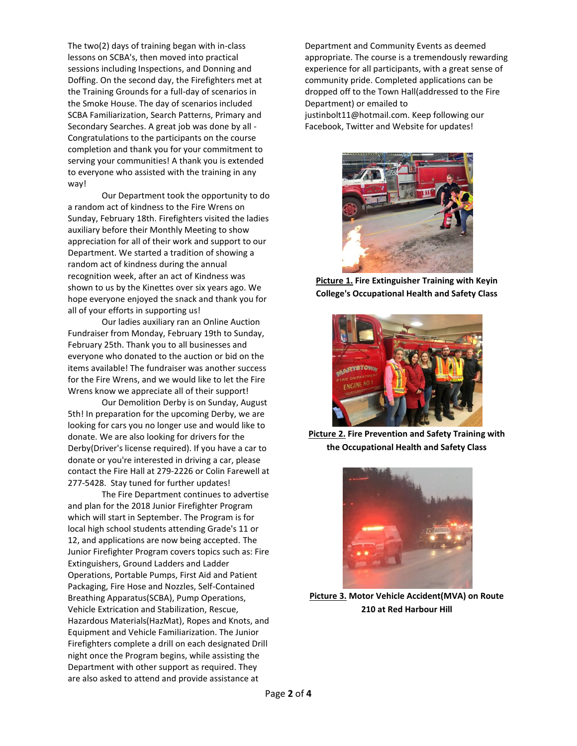The two(2) days of training began with in-class lessons on SCBA's, then moved into practical sessions including Inspections, and Donning and Doffing. On the second day, the Firefighters met at the Training Grounds for a full-day of scenarios in the Smoke House. The day of scenarios included SCBA Familiarization, Search Patterns, Primary and Secondary Searches. A great job was done by all - Congratulations to the participants on the course completion and thank you for your commitment to serving your communities! A thank you is extended to everyone who assisted with the training in any way!

Our Department took the opportunity to do a random act of kindness to the Fire Wrens on Sunday, February 18th. Firefighters visited the ladies auxiliary before their Monthly Meeting to show appreciation for all of their work and support to our Department. We started a tradition of showing a random act of kindness during the annual recognition week, after an act of Kindness was shown to us by the Kinettes over six years ago. We hope everyone enjoyed the snack and thank you for all of your efforts in supporting us!

Our ladies auxiliary ran an Online Auction Fundraiser from Monday, February 19th to Sunday, February 25th. Thank you to all businesses and everyone who donated to the auction or bid on the items available! The fundraiser was another success for the Fire Wrens, and we would like to let the Fire Wrens know we appreciate all of their support!

Our Demolition Derby is on Sunday, August 5th! In preparation for the upcoming Derby, we are looking for cars you no longer use and would like to donate. We are also looking for drivers for the Derby(Driver's license required). If you have a car to donate or you're interested in driving a car, please contact the Fire Hall at 279-2226 or Colin Farewell at 277-5428. Stay tuned for further updates!

The Fire Department continues to advertise and plan for the 2018 Junior Firefighter Program which will start in September. The Program is for local high school students attending Grade's 11 or 12, and applications are now being accepted. The Junior Firefighter Program covers topics such as: Fire Extinguishers, Ground Ladders and Ladder Operations, Portable Pumps, First Aid and Patient Packaging, Fire Hose and Nozzles, Self-Contained Breathing Apparatus(SCBA), Pump Operations, Vehicle Extrication and Stabilization, Rescue, Hazardous Materials(HazMat), Ropes and Knots, and Equipment and Vehicle Familiarization. The Junior Firefighters complete a drill on each designated Drill night once the Program begins, while assisting the Department with other support as required. They are also asked to attend and provide assistance at

Department and Community Events as deemed appropriate. The course is a tremendously rewarding experience for all participants, with a great sense of community pride. Completed applications can be dropped off to the Town Hall(addressed to the Fire Department) or emailed to justinbolt11@hotmail.com. Keep following our Facebook, Twitter and Website for updates!



**Picture 1. Fire Extinguisher Training with Keyin College's Occupational Health and Safety Class**



**Picture 2. Fire Prevention and Safety Training with the Occupational Health and Safety Class**



**Picture 3. Motor Vehicle Accident(MVA) on Route 210 at Red Harbour Hill**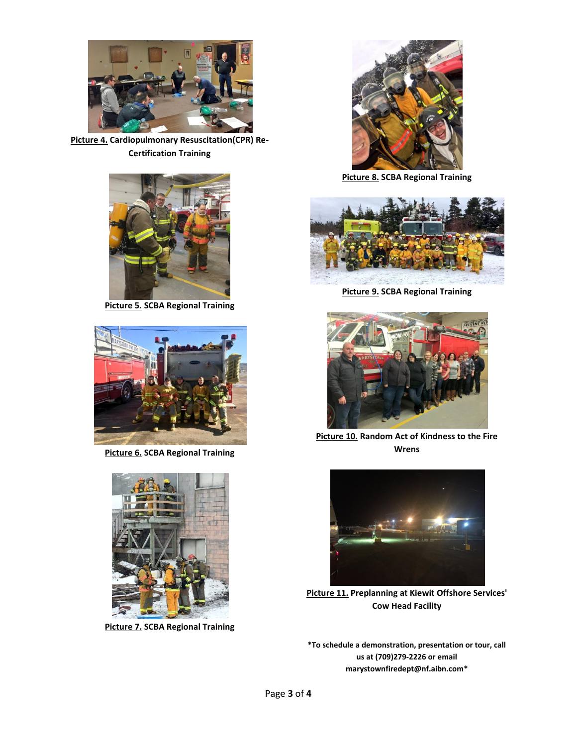

**Picture 4. Cardiopulmonary Resuscitation(CPR) Re-Certification Training**



**Picture 5. SCBA Regional Training**



**Picture 6. SCBA Regional Training**



**Picture 7. SCBA Regional Training**



**Picture 8. SCBA Regional Training**



**Picture 9. SCBA Regional Training**



**Picture 10. Random Act of Kindness to the Fire Wrens**



**Picture 11. Preplanning at Kiewit Offshore Services' Cow Head Facility**

**\*To schedule a demonstration, presentation or tour, call us at (709)279-2226 or email [marystownfiredept@nf.aibn.com\\*](mailto:marystownfiredept@nf.aibn.com)**